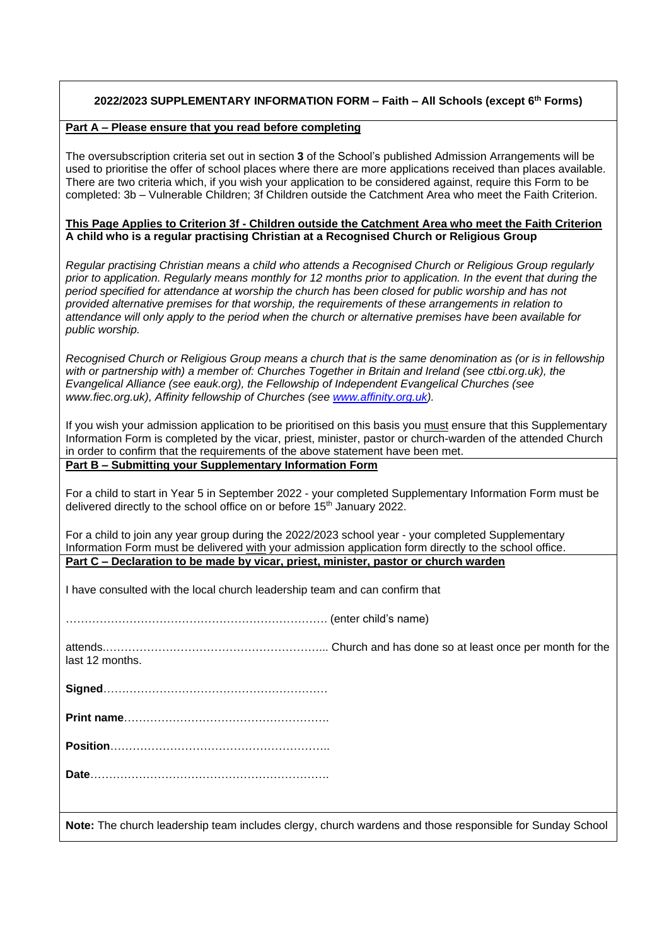# **2022/2023 SUPPLEMENTARY INFORMATION FORM – Faith – All Schools (except 6th Forms)**

#### **Part A – Please ensure that you read before completing**

The oversubscription criteria set out in section **3** of the School's published Admission Arrangements will be used to prioritise the offer of school places where there are more applications received than places available. There are two criteria which, if you wish your application to be considered against, require this Form to be completed: 3b – Vulnerable Children; 3f Children outside the Catchment Area who meet the Faith Criterion.

#### **This Page Applies to Criterion 3f - Children outside the Catchment Area who meet the Faith Criterion A child who is a regular practising Christian at a Recognised Church or Religious Group**

*Regular practising Christian means a child who attends a Recognised Church or Religious Group regularly prior to application. Regularly means monthly for 12 months prior to application. In the event that during the period specified for attendance at worship the church has been closed for public worship and has not provided alternative premises for that worship, the requirements of these arrangements in relation to attendance will only apply to the period when the church or alternative premises have been available for public worship.*

*Recognised Church or Religious Group means a church that is the same denomination as (or is in fellowship with or partnership with) a member of: Churches Together in Britain and Ireland (see ctbi.org.uk), the Evangelical Alliance (see eauk.org), the Fellowship of Independent Evangelical Churches (see www.fiec.org.uk), Affinity fellowship of Churches (see [www.affinity.org.uk\)](http://www.affinity.org.uk/).*

If you wish your admission application to be prioritised on this basis you must ensure that this Supplementary Information Form is completed by the vicar, priest, minister, pastor or church-warden of the attended Church in order to confirm that the requirements of the above statement have been met.

# **Part B – Submitting your Supplementary Information Form**

For a child to start in Year 5 in September 2022 - your completed Supplementary Information Form must be delivered directly to the school office on or before 15<sup>th</sup> January 2022.

For a child to join any year group during the 2022/2023 school year - your completed Supplementary Information Form must be delivered with your admission application form directly to the school office. **Part C – Declaration to be made by vicar, priest, minister, pastor or church warden**

I have consulted with the local church leadership team and can confirm that

……………………………………………………………. (enter child's name)

attends.…………………………………………………... Church and has done so at least once per month for the last 12 months.

**Signed**……………………………………………………

**Print name**……………………………………………….

**Position**…………………………………………………..

**Date**……………………………………………………….

**Note:** The church leadership team includes clergy, church wardens and those responsible for Sunday School